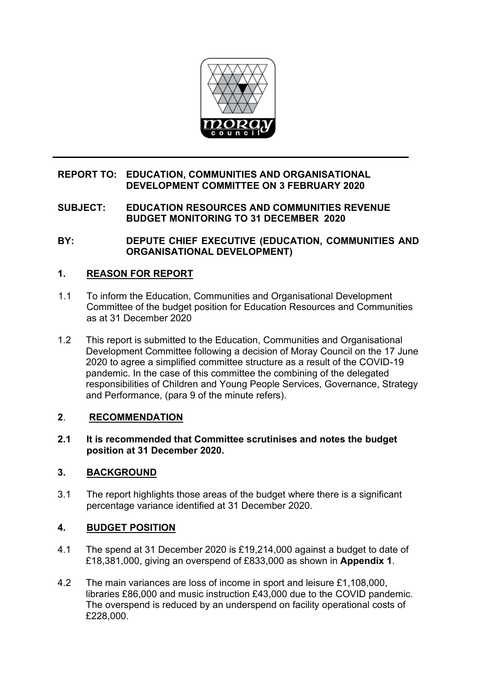

## **REPORT TO: EDUCATION, COMMUNITIES AND ORGANISATIONAL DEVELOPMENT COMMITTEE ON 3 FEBRUARY 2020**

**SUBJECT: EDUCATION RESOURCES AND COMMUNITIES REVENUE BUDGET MONITORING TO 31 DECEMBER 2020**

**BY: DEPUTE CHIEF EXECUTIVE (EDUCATION, COMMUNITIES AND ORGANISATIONAL DEVELOPMENT)** 

## **1. REASON FOR REPORT**

- 1.1 To inform the Education, Communities and Organisational Development Committee of the budget position for Education Resources and Communities as at 31 December 2020
- 1.2 This report is submitted to the Education, Communities and Organisational Development Committee following a decision of Moray Council on the 17 June 2020 to agree a simplified committee structure as a result of the COVID-19 pandemic. In the case of this committee the combining of the delegated responsibilities of Children and Young People Services, Governance, Strategy and Performance, (para 9 of the minute refers).

## **2**. **RECOMMENDATION**

**2.1 It is recommended that Committee scrutinises and notes the budget position at 31 December 2020.** 

## **3. BACKGROUND**

3.1 The report highlights those areas of the budget where there is a significant percentage variance identified at 31 December 2020.

## **4. BUDGET POSITION**

- 4.1 The spend at 31 December 2020 is £19,214,000 against a budget to date of £18,381,000, giving an overspend of £833,000 as shown in **Appendix 1**.
- 4.2 The main variances are loss of income in sport and leisure £1,108,000, libraries £86,000 and music instruction £43,000 due to the COVID pandemic. The overspend is reduced by an underspend on facility operational costs of £228,000.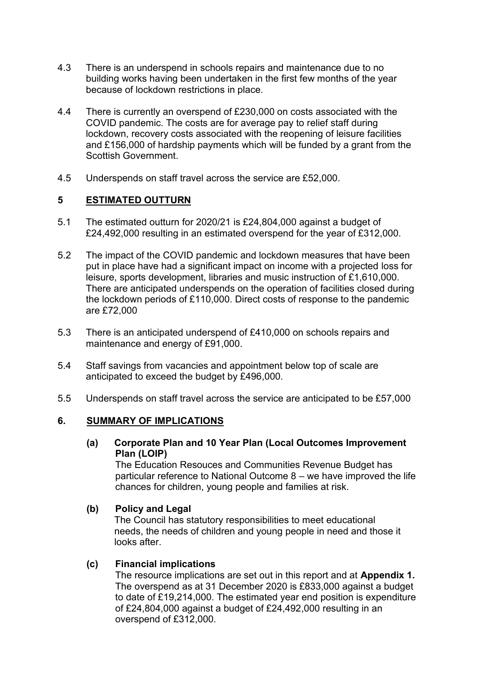- 4.3 There is an underspend in schools repairs and maintenance due to no building works having been undertaken in the first few months of the year because of lockdown restrictions in place.
- 4.4 There is currently an overspend of £230,000 on costs associated with the COVID pandemic. The costs are for average pay to relief staff during lockdown, recovery costs associated with the reopening of leisure facilities and £156,000 of hardship payments which will be funded by a grant from the Scottish Government.
- 4.5 Underspends on staff travel across the service are £52,000.

### **5 ESTIMATED OUTTURN**

- 5.1 The estimated outturn for 2020/21 is £24,804,000 against a budget of £24,492,000 resulting in an estimated overspend for the year of £312,000.
- 5.2 The impact of the COVID pandemic and lockdown measures that have been put in place have had a significant impact on income with a projected loss for leisure, sports development, libraries and music instruction of £1,610,000. There are anticipated underspends on the operation of facilities closed during the lockdown periods of £110,000. Direct costs of response to the pandemic are £72,000
- 5.3 There is an anticipated underspend of £410,000 on schools repairs and maintenance and energy of £91,000.
- 5.4 Staff savings from vacancies and appointment below top of scale are anticipated to exceed the budget by £496,000.
- 5.5 Underspends on staff travel across the service are anticipated to be £57,000

#### **6. SUMMARY OF IMPLICATIONS**

**(a) Corporate Plan and 10 Year Plan (Local Outcomes Improvement Plan (LOIP)** 

 The Education Resouces and Communities Revenue Budget has particular reference to National Outcome 8 – we have improved the life chances for children, young people and families at risk.

#### **(b) Policy and Legal**

The Council has statutory responsibilities to meet educational needs, the needs of children and young people in need and those it looks after.

#### **(c) Financial implications**

The resource implications are set out in this report and at **Appendix 1.** The overspend as at 31 December 2020 is £833,000 against a budget to date of £19,214,000. The estimated year end position is expenditure of £24,804,000 against a budget of £24,492,000 resulting in an overspend of £312,000.